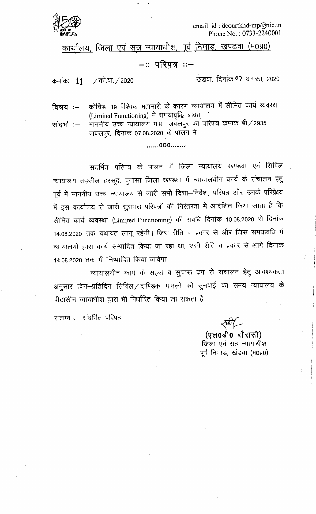

email id: dcourtkhd-mp@nic.in Phone No.: 0733-2240001

कार्यालय, जिला एवं सत्र न्यायाधीश, पूर्व निमाड, खण्डवा (म0प्र0)

## –∷ परिपत्र ∷–

/ को.वा. / 2020 कमांकः 11

खंडवा, दिनांक ०7 अगस्त, 2020

कोविड-19 वैश्विक महामारी के कारण न्यायालय में सीमित कार्य व्यवस्था विषय $:=$ (Limited Functioning) में समयावृद्धि बाबत्।

माननीय उच्च न्यायालय म.प्र., जबलपुर का परिपत्र कमांक बी/2935 संदर्भ :– जबलपुर, दिनांक 07.08.2020 के पालन में।

......000.......

संदर्भित परिपत्र के पालन में जिला न्यायालय खण्डवा एवं सिविल न्यायालय तहसील हरसूद, पुनासा जिला खण्डवा में न्यायालयीन कार्य के संचालन हेतू पूर्व में माननीय उच्च न्यायालय से जारी सभी दिशा—निर्देश, परिपत्र और उनके परिप्रेक्ष्य में इस कार्यालय से जारी सुसंगत परिपत्रों की निरंतरता में आदेशित किया जाता है कि सीमित कार्य व्यवस्था (Limited Functioning) की अवधि दिनांक 10.08.2020 से दिनांक 14.08.2020 तक यथावत लागू रहेगी। जिस रीति व प्रकार से और जिस समयावधि में न्यायालयों द्वारा कार्य सम्पादित किया जा रहा था; उसी रीति व प्रकार से आगे दिनांक 14.08.2020 तक भी निष्पादित किया जावेगा।

न्यायालयीन कार्य के सहज व सूचारू ढंग से संचालन हेतु आवश्यकता अनुसार दिन–प्रतिदिन सिविल ⁄ दाण्डिक मामलों की सुनवाई का समय न्यायालय के पीठासीन न्यायाधीश द्वारा भी निर्धारित किया जा सकता है।

संलग्न :- संदर्भित परिपत्र

(एल0डी0 बौरासी) जिला एवं सत्र न्यायाधीश पूर्व निमाड़, खंडवा (म0प्र0)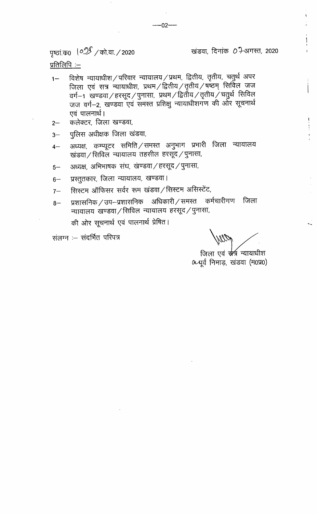पृष्ठां.क0 (०% / को.वा. / 2020

खंडवा दिनांक 07-अगस्त, 2020

प्रतिलिपि :—

- विशेष न्यायाधीश/परिवार न्यायालय/प्रथम, द्वितीय, तृतीय, चतुर्थ अपर  $1 -$ जिला एवं सत्र न्यायाधीश, प्रथम / द्वितीय / तृतीय / षष्ठम् सिर्विल जज वर्ग $-$ 1 खण्डवा $/$ हरसूद $/$ पुनासा, प्रथम $/$ द्वितीय $/$ तृतीय $\dot{/}$ चतुर्थ सिविल जज वर्ग-2, खण्डवा एवं समस्त प्रशिक्षु न्यायाधीशगण की ओर सूचनार्थ एवं पालनार्थ।
- कलेक्टर, जिला खण्डवा,  $2-$
- पुलिस अधीक्षक जिला खंडवा,  $3-$
- अध्यक्ष, कम्प्यूटर समिति / समस्त अनुभाग प्रभारी जिला न्यायालय  $4-$ खंडवा/सिविल न्यायालय तहसील हरसूद/पुनासा,
- अध्यक्ष, अभिभाषक संघ, खण्डवा / हरसूद / पुनासा,  $5-$
- प्रस्तुतकार, जिला न्यायालय, खण्डवा।  $6-$
- सिस्टम ऑफिसर सर्वर रूम खंडवा / सिस्टम असिस्टेंट,  $7-$
- प्रशासनिक / उप–प्रशासनिक अधिकारी / समस्त कर्मचारीगण जिला  $8-$ न्यायालय खण्डवा / सिविल न्यायालय हरसूद / पुनासा, की ओर सूचनार्थ एवं पालनार्थ प्रेषित।

संलग्न :- संदर्भित परिपत्र

जिला एवं <del>र्ण</del>त्र न्यायाधीश 0-पूर्व निमाड, खंडवा (म0प्र0)